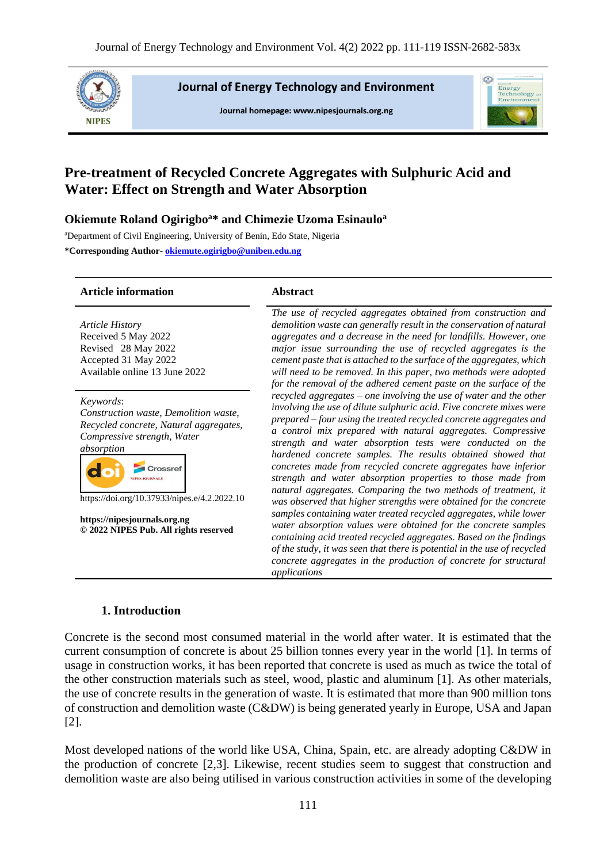

**Journal of Energy Technology and Environment** 

Journal homepage: www.nipesjournals.org.ng



# **Pre-treatment of Recycled Concrete Aggregates with Sulphuric Acid and Water: Effect on Strength and Water Absorption**

## **Okiemute Roland Ogirigbo<sup>a</sup>\* and Chimezie Uzoma Esinaulo<sup>a</sup>**

<sup>a</sup>Department of Civil Engineering, University of Benin, Edo State, Nigeria **\*Corresponding Author- [okiemute.ogirigbo@uniben.edu.ng](mailto:okiemute.ogirigbo@uniben.edu.ng)**

## **Article information Abstract**

*Article History* Received 5 May 2022 Revised 28 May 2022 Accepted 31 May 2022 Available online 13 June 2022

*Keywords*:

*Construction waste, Demolition waste, Recycled concrete, Natural aggregates, Compressive strength, Water absorption*



https://doi.org/10.37933/nipes.e/4.2.2022.10

**https://nipesjournals.org.ng © 2022 NIPES Pub. All rights reserved**

*The use of recycled aggregates obtained from construction and demolition waste can generally result in the conservation of natural aggregates and a decrease in the need for landfills. However, one major issue surrounding the use of recycled aggregates is the cement paste that is attached to the surface of the aggregates, which will need to be removed. In this paper, two methods were adopted for the removal of the adhered cement paste on the surface of the recycled aggregates – one involving the use of water and the other involving the use of dilute sulphuric acid. Five concrete mixes were prepared – four using the treated recycled concrete aggregates and a control mix prepared with natural aggregates. Compressive strength and water absorption tests were conducted on the hardened concrete samples. The results obtained showed that concretes made from recycled concrete aggregates have inferior strength and water absorption properties to those made from natural aggregates. Comparing the two methods of treatment, it was observed that higher strengths were obtained for the concrete samples containing water treated recycled aggregates, while lower water absorption values were obtained for the concrete samples containing acid treated recycled aggregates. Based on the findings of the study, it was seen that there is potential in the use of recycled concrete aggregates in the production of concrete for structural applications*

## **1. Introduction**

Concrete is the second most consumed material in the world after water. It is estimated that the current consumption of concrete is about 25 billion tonnes every year in the world [1]. In terms of usage in construction works, it has been reported that concrete is used as much as twice the total of the other construction materials such as steel, wood, plastic and aluminum [1]. As other materials, the use of concrete results in the generation of waste. It is estimated that more than 900 million tons of construction and demolition waste (C&DW) is being generated yearly in Europe, USA and Japan [2].

Most developed nations of the world like USA, China, Spain, etc. are already adopting C&DW in the production of concrete [2,3]. Likewise, recent studies seem to suggest that construction and demolition waste are also being utilised in various construction activities in some of the developing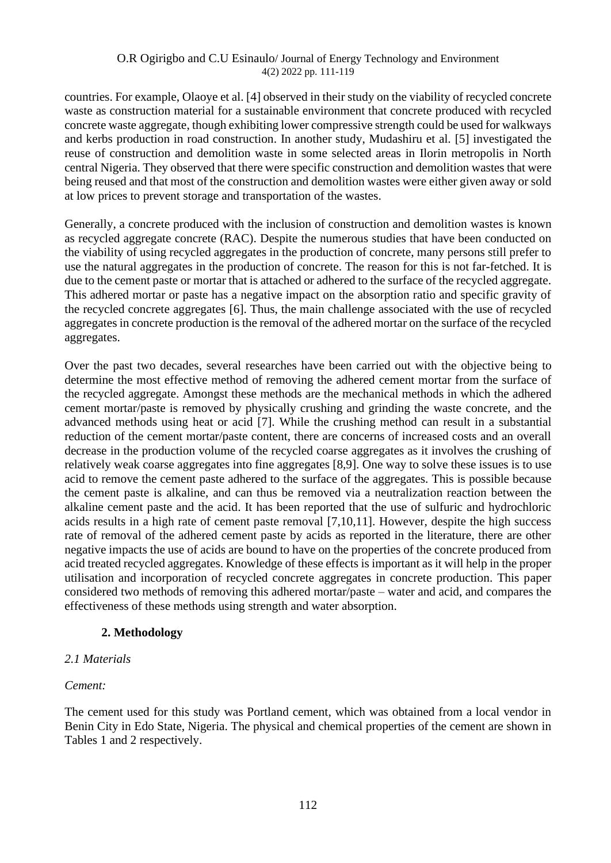countries. For example, Olaoye et al. [4] observed in their study on the viability of recycled concrete waste as construction material for a sustainable environment that concrete produced with recycled concrete waste aggregate, though exhibiting lower compressive strength could be used for walkways and kerbs production in road construction. In another study, Mudashiru et al. [5] investigated the reuse of construction and demolition waste in some selected areas in Ilorin metropolis in North central Nigeria. They observed that there were specific construction and demolition wastes that were being reused and that most of the construction and demolition wastes were either given away or sold at low prices to prevent storage and transportation of the wastes.

Generally, a concrete produced with the inclusion of construction and demolition wastes is known as recycled aggregate concrete (RAC). Despite the numerous studies that have been conducted on the viability of using recycled aggregates in the production of concrete, many persons still prefer to use the natural aggregates in the production of concrete. The reason for this is not far-fetched. It is due to the cement paste or mortar that is attached or adhered to the surface of the recycled aggregate. This adhered mortar or paste has a negative impact on the absorption ratio and specific gravity of the recycled concrete aggregates [6]. Thus, the main challenge associated with the use of recycled aggregates in concrete production is the removal of the adhered mortar on the surface of the recycled aggregates.

Over the past two decades, several researches have been carried out with the objective being to determine the most effective method of removing the adhered cement mortar from the surface of the recycled aggregate. Amongst these methods are the mechanical methods in which the adhered cement mortar/paste is removed by physically crushing and grinding the waste concrete, and the advanced methods using heat or acid [7]. While the crushing method can result in a substantial reduction of the cement mortar/paste content, there are concerns of increased costs and an overall decrease in the production volume of the recycled coarse aggregates as it involves the crushing of relatively weak coarse aggregates into fine aggregates [8,9]. One way to solve these issues is to use acid to remove the cement paste adhered to the surface of the aggregates. This is possible because the cement paste is alkaline, and can thus be removed via a neutralization reaction between the alkaline cement paste and the acid. It has been reported that the use of sulfuric and hydrochloric acids results in a high rate of cement paste removal [7,10,11]. However, despite the high success rate of removal of the adhered cement paste by acids as reported in the literature, there are other negative impacts the use of acids are bound to have on the properties of the concrete produced from acid treated recycled aggregates. Knowledge of these effects is important as it will help in the proper utilisation and incorporation of recycled concrete aggregates in concrete production. This paper considered two methods of removing this adhered mortar/paste – water and acid, and compares the effectiveness of these methods using strength and water absorption.

## **2. Methodology**

## *2.1 Materials*

## *Cement:*

The cement used for this study was Portland cement, which was obtained from a local vendor in Benin City in Edo State, Nigeria. The physical and chemical properties of the cement are shown in Tables 1 and 2 respectively.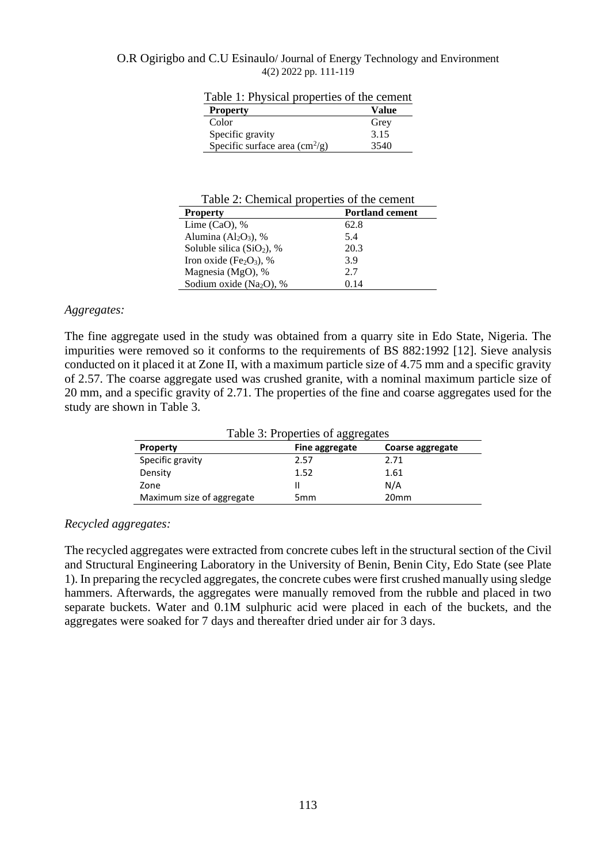|  | Table 1: Physical properties of the cement |
|--|--------------------------------------------|
|--|--------------------------------------------|

| <b>Property</b>                                | Value |
|------------------------------------------------|-------|
| Color                                          | Grey  |
| Specific gravity                               | 3.15  |
| Specific surface area $\text{cm}^2/\text{g}$ ) | 3540  |
|                                                |       |

| <b>Property</b>                     | <b>Portland cement</b> |
|-------------------------------------|------------------------|
| Lime $(CaO)$ , %                    | 62.8                   |
| Alumina $(Al_2O_3)$ , %             | 5.4                    |
| Soluble silica $(SiO2)$ , %         | 20.3                   |
| Iron oxide $(Fe2O3)$ , %            | 3.9                    |
| Magnesia (MgO), %                   | 2.7                    |
| Sodium oxide (Na <sub>2</sub> O), % | 0.14                   |

## *Aggregates:*

The fine aggregate used in the study was obtained from a quarry site in Edo State, Nigeria. The impurities were removed so it conforms to the requirements of BS 882:1992 [12]. Sieve analysis conducted on it placed it at Zone II, with a maximum particle size of 4.75 mm and a specific gravity of 2.57. The coarse aggregate used was crushed granite, with a nominal maximum particle size of 20 mm, and a specific gravity of 2.71. The properties of the fine and coarse aggregates used for the study are shown in Table 3.

| Table 3: Properties of aggregates |                 |                  |  |
|-----------------------------------|-----------------|------------------|--|
| <b>Property</b>                   | Fine aggregate  | Coarse aggregate |  |
| Specific gravity                  | 2.57            | 2.71             |  |
| Density                           | 1.52            | 1.61             |  |
| Zone                              |                 | N/A              |  |
| Maximum size of aggregate         | 5 <sub>mm</sub> | 20 <sub>mm</sub> |  |

## *Recycled aggregates:*

The recycled aggregates were extracted from concrete cubes left in the structural section of the Civil and Structural Engineering Laboratory in the University of Benin, Benin City, Edo State (see Plate 1). In preparing the recycled aggregates, the concrete cubes were first crushed manually using sledge hammers. Afterwards, the aggregates were manually removed from the rubble and placed in two separate buckets. Water and 0.1M sulphuric acid were placed in each of the buckets, and the aggregates were soaked for 7 days and thereafter dried under air for 3 days.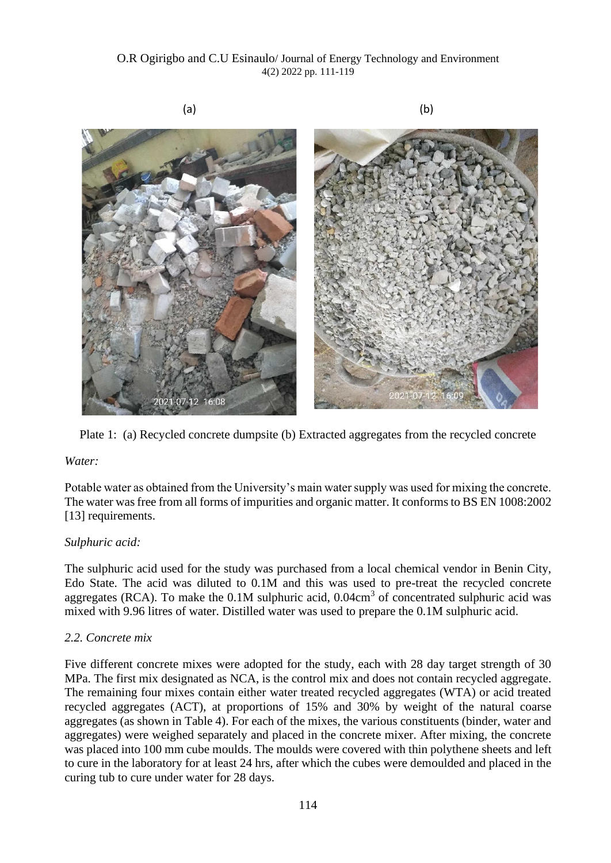



## *Water:*

Potable water as obtained from the University's main water supply was used for mixing the concrete. The water was free from all forms of impurities and organic matter. It conforms to BS EN 1008:2002 [13] requirements.

## *Sulphuric acid:*

The sulphuric acid used for the study was purchased from a local chemical vendor in Benin City, Edo State. The acid was diluted to 0.1M and this was used to pre-treat the recycled concrete aggregates (RCA). To make the  $0.1M$  sulphuric acid,  $0.04cm<sup>3</sup>$  of concentrated sulphuric acid was mixed with 9.96 litres of water. Distilled water was used to prepare the 0.1M sulphuric acid.

## *2.2. Concrete mix*

Five different concrete mixes were adopted for the study, each with 28 day target strength of 30 MPa. The first mix designated as NCA, is the control mix and does not contain recycled aggregate. The remaining four mixes contain either water treated recycled aggregates (WTA) or acid treated recycled aggregates (ACT), at proportions of 15% and 30% by weight of the natural coarse aggregates (as shown in Table 4). For each of the mixes, the various constituents (binder, water and aggregates) were weighed separately and placed in the concrete mixer. After mixing, the concrete was placed into 100 mm cube moulds. The moulds were covered with thin polythene sheets and left to cure in the laboratory for at least 24 hrs, after which the cubes were demoulded and placed in the curing tub to cure under water for 28 days.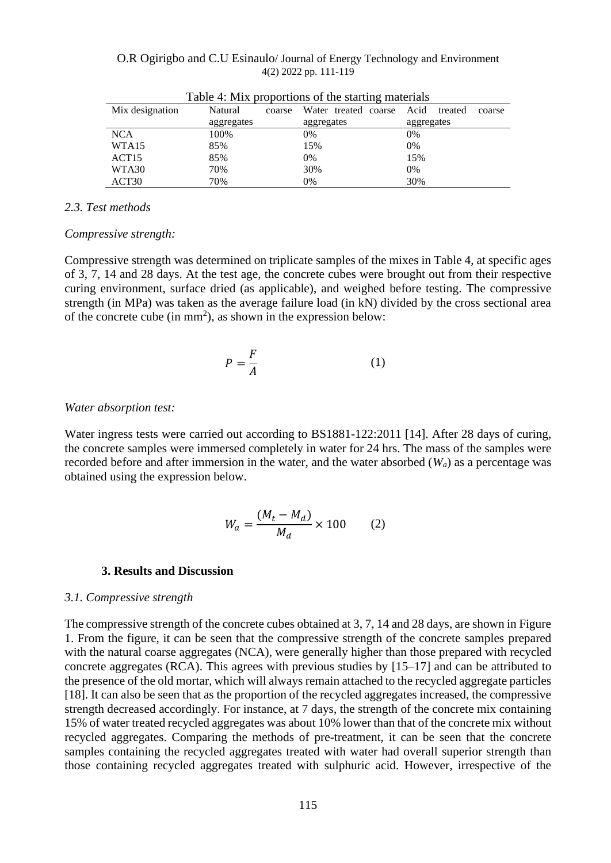|                   |                   | THE TWO TO PROPORTED TO THE BUILDING THE THREE THAT THE T |                           |
|-------------------|-------------------|-----------------------------------------------------------|---------------------------|
| Mix designation   | Natural<br>coarse | Water treated coarse                                      | Acid<br>treated<br>coarse |
|                   | aggregates        | aggregates                                                | aggregates                |
| <b>NCA</b>        | 100%              | 0%                                                        | 0%                        |
| WTA <sub>15</sub> | 85%               | 15%                                                       | 0%                        |
| ACT <sub>15</sub> | 85%               | 0%                                                        | 15%                       |
| WTA30             | 70%               | 30%                                                       | 0%                        |
| ACT <sub>30</sub> | 70%               | 0%                                                        | 30%                       |

## *2.3. Test methods*

#### *Compressive strength:*

Compressive strength was determined on triplicate samples of the mixes in Table 4, at specific ages of 3, 7, 14 and 28 days. At the test age, the concrete cubes were brought out from their respective curing environment, surface dried (as applicable), and weighed before testing. The compressive strength (in MPa) was taken as the average failure load (in kN) divided by the cross sectional area of the concrete cube (in  $mm<sup>2</sup>$ ), as shown in the expression below:

$$
P = \frac{F}{A} \tag{1}
$$

#### *Water absorption test:*

Water ingress tests were carried out according to BS1881-122:2011 [14]. After 28 days of curing, the concrete samples were immersed completely in water for 24 hrs. The mass of the samples were recorded before and after immersion in the water, and the water absorbed (*Wa*) as a percentage was obtained using the expression below.

$$
W_a = \frac{(M_t - M_d)}{M_d} \times 100 \qquad (2)
$$

#### **3. Results and Discussion**

#### *3.1. Compressive strength*

The compressive strength of the concrete cubes obtained at 3, 7, 14 and 28 days, are shown in Figure 1. From the figure, it can be seen that the compressive strength of the concrete samples prepared with the natural coarse aggregates (NCA), were generally higher than those prepared with recycled concrete aggregates (RCA). This agrees with previous studies by [15–17] and can be attributed to the presence of the old mortar, which will always remain attached to the recycled aggregate particles [18]. It can also be seen that as the proportion of the recycled aggregates increased, the compressive strength decreased accordingly. For instance, at 7 days, the strength of the concrete mix containing 15% of water treated recycled aggregates was about 10% lower than that of the concrete mix without recycled aggregates. Comparing the methods of pre-treatment, it can be seen that the concrete samples containing the recycled aggregates treated with water had overall superior strength than those containing recycled aggregates treated with sulphuric acid. However, irrespective of the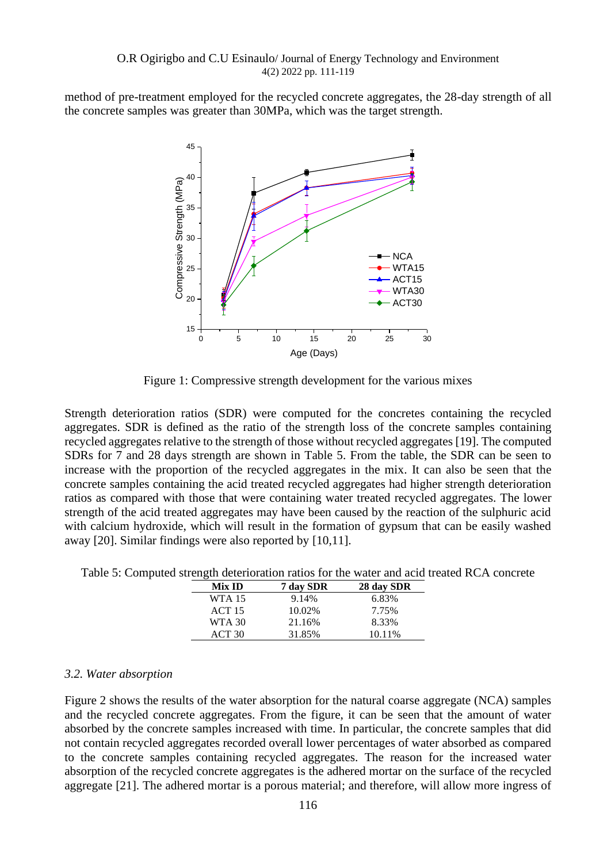method of pre-treatment employed for the recycled concrete aggregates, the 28-day strength of all the concrete samples was greater than 30MPa, which was the target strength.



Figure 1: Compressive strength development for the various mixes

Strength deterioration ratios (SDR) were computed for the concretes containing the recycled aggregates. SDR is defined as the ratio of the strength loss of the concrete samples containing recycled aggregates relative to the strength of those without recycled aggregates [19]. The computed SDRs for 7 and 28 days strength are shown in Table 5. From the table, the SDR can be seen to increase with the proportion of the recycled aggregates in the mix. It can also be seen that the concrete samples containing the acid treated recycled aggregates had higher strength deterioration ratios as compared with those that were containing water treated recycled aggregates. The lower strength of the acid treated aggregates may have been caused by the reaction of the sulphuric acid with calcium hydroxide, which will result in the formation of gypsum that can be easily washed away [20]. Similar findings were also reported by [10,11].

| Table 5: Computed strength deterioration ratios for the water and acid treated RCA concrete |  |  |  |  |  |  |
|---------------------------------------------------------------------------------------------|--|--|--|--|--|--|
|---------------------------------------------------------------------------------------------|--|--|--|--|--|--|

| Mix ID            | 7 day SDR | 28 day SDR |
|-------------------|-----------|------------|
| WTA 15            | 9.14%     | 6.83%      |
| ACT <sub>15</sub> | 10.02%    | 7.75%      |
| WTA 30            | 21.16%    | 8.33%      |
| ACT 30            | 31.85%    | 10.11%     |

## *3.2. Water absorption*

Figure 2 shows the results of the water absorption for the natural coarse aggregate (NCA) samples and the recycled concrete aggregates. From the figure, it can be seen that the amount of water absorbed by the concrete samples increased with time. In particular, the concrete samples that did not contain recycled aggregates recorded overall lower percentages of water absorbed as compared to the concrete samples containing recycled aggregates. The reason for the increased water absorption of the recycled concrete aggregates is the adhered mortar on the surface of the recycled aggregate [21]. The adhered mortar is a porous material; and therefore, will allow more ingress of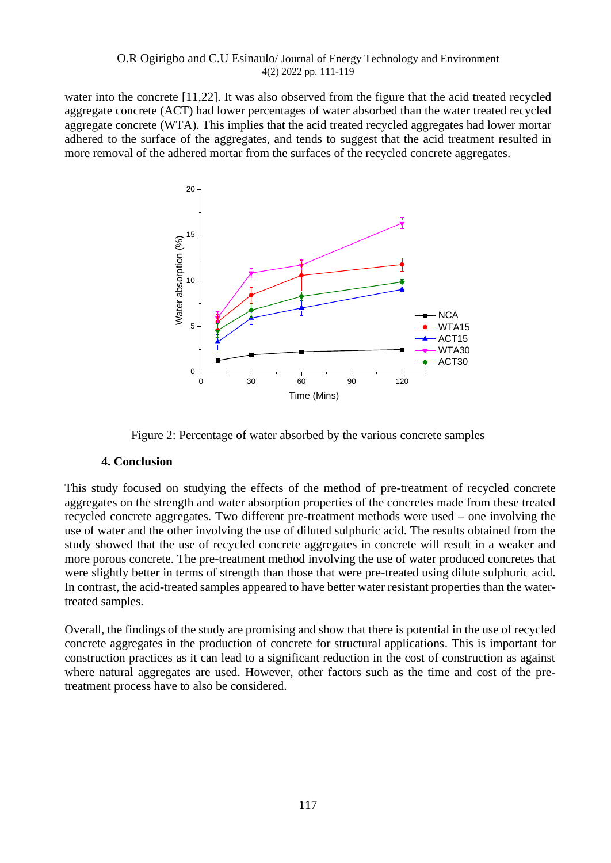water into the concrete [11,22]. It was also observed from the figure that the acid treated recycled aggregate concrete (ACT) had lower percentages of water absorbed than the water treated recycled aggregate concrete (WTA). This implies that the acid treated recycled aggregates had lower mortar adhered to the surface of the aggregates, and tends to suggest that the acid treatment resulted in more removal of the adhered mortar from the surfaces of the recycled concrete aggregates.



Figure 2: Percentage of water absorbed by the various concrete samples

## **4. Conclusion**

This study focused on studying the effects of the method of pre-treatment of recycled concrete aggregates on the strength and water absorption properties of the concretes made from these treated recycled concrete aggregates. Two different pre-treatment methods were used – one involving the use of water and the other involving the use of diluted sulphuric acid. The results obtained from the study showed that the use of recycled concrete aggregates in concrete will result in a weaker and more porous concrete. The pre-treatment method involving the use of water produced concretes that were slightly better in terms of strength than those that were pre-treated using dilute sulphuric acid. In contrast, the acid-treated samples appeared to have better water resistant properties than the watertreated samples.

Overall, the findings of the study are promising and show that there is potential in the use of recycled concrete aggregates in the production of concrete for structural applications. This is important for construction practices as it can lead to a significant reduction in the cost of construction as against where natural aggregates are used. However, other factors such as the time and cost of the pretreatment process have to also be considered.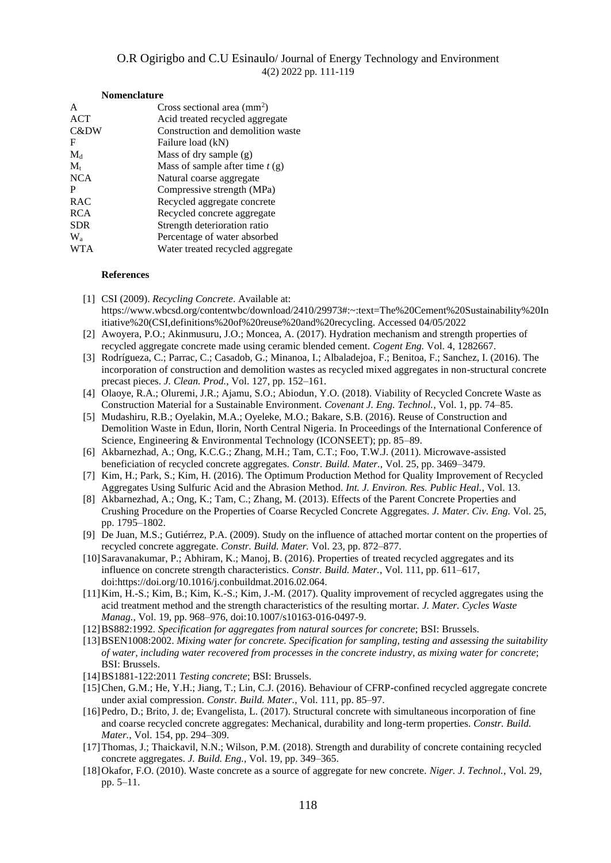| <b>Nomenclature</b>                  |  |  |
|--------------------------------------|--|--|
| Cross sectional area $\text{(mm)}^2$ |  |  |
| Acid treated recycled aggregate      |  |  |
| Construction and demolition waste    |  |  |
| Failure load (kN)                    |  |  |
| Mass of dry sample $(g)$             |  |  |
| Mass of sample after time $t(g)$     |  |  |
| Natural coarse aggregate             |  |  |
| Compressive strength (MPa)           |  |  |
| Recycled aggregate concrete          |  |  |
| Recycled concrete aggregate          |  |  |
| Strength deterioration ratio         |  |  |
| Percentage of water absorbed         |  |  |
| Water treated recycled aggregate     |  |  |
|                                      |  |  |

#### **References**

- [1] CSI (2009). *Recycling Concrete*. Available at: https://www.wbcsd.org/contentwbc/download/2410/29973#:~:text=The%20Cement%20Sustainability%20In itiative%20(CSI,definitions%20of%20reuse%20and%20recycling. Accessed 04/05/2022
- [2] Awoyera, P.O.; Akinmusuru, J.O.; Moncea, A. (2017). Hydration mechanism and strength properties of recycled aggregate concrete made using ceramic blended cement. *Cogent Eng.* Vol. 4, 1282667.
- [3] Rodrígueza, C.; Parrac, C.; Casadob, G.; Minanoa, I.; Albaladejoa, F.; Benitoa, F.; Sanchez, I. (2016). The incorporation of construction and demolition wastes as recycled mixed aggregates in non-structural concrete precast pieces. *J. Clean. Prod.*, Vol. 127, pp. 152–161.
- [4] Olaoye, R.A.; Oluremi, J.R.; Ajamu, S.O.; Abiodun, Y.O. (2018). Viability of Recycled Concrete Waste as Construction Material for a Sustainable Environment. *Covenant J. Eng. Technol.*, Vol. 1, pp. 74–85.
- [5] Mudashiru, R.B.; Oyelakin, M.A.; Oyeleke, M.O.; Bakare, S.B. (2016). Reuse of Construction and Demolition Waste in Edun, Ilorin, North Central Nigeria. In Proceedings of the International Conference of Science, Engineering & Environmental Technology (ICONSEET); pp. 85–89.
- [6] Akbarnezhad, A.; Ong, K.C.G.; Zhang, M.H.; Tam, C.T.; Foo, T.W.J. (2011). Microwave-assisted beneficiation of recycled concrete aggregates. *Constr. Build. Mater.*, Vol. 25, pp. 3469–3479.
- [7] Kim, H.; Park, S.; Kim, H. (2016). The Optimum Production Method for Quality Improvement of Recycled Aggregates Using Sulfuric Acid and the Abrasion Method. *Int. J. Environ. Res. Public Heal.*, Vol. 13.
- [8] Akbarnezhad, A.; Ong, K.; Tam, C.; Zhang, M. (2013). Effects of the Parent Concrete Properties and Crushing Procedure on the Properties of Coarse Recycled Concrete Aggregates. *J. Mater. Civ. Eng.* Vol. 25, pp. 1795–1802.
- [9] De Juan, M.S.; Gutiérrez, P.A. (2009). Study on the influence of attached mortar content on the properties of recycled concrete aggregate. *Constr. Build. Mater.* Vol. 23, pp. 872–877.
- [10]Saravanakumar, P.; Abhiram, K.; Manoj, B. (2016). Properties of treated recycled aggregates and its influence on concrete strength characteristics. *Constr. Build. Mater.*, Vol. 111, pp. 611–617, doi:https://doi.org/10.1016/j.conbuildmat.2016.02.064.
- [11]Kim, H.-S.; Kim, B.; Kim, K.-S.; Kim, J.-M. (2017). Quality improvement of recycled aggregates using the acid treatment method and the strength characteristics of the resulting mortar. *J. Mater. Cycles Waste Manag.*, Vol. 19, pp. 968–976, doi:10.1007/s10163-016-0497-9.
- [12]BS882:1992. *Specification for aggregates from natural sources for concrete*; BSI: Brussels.
- [13]BSEN1008:2002. *Mixing water for concrete. Specification for sampling, testing and assessing the suitability of water, including water recovered from processes in the concrete industry, as mixing water for concrete*; BSI: Brussels.
- [14]BS1881-122:2011 *Testing concrete*; BSI: Brussels.
- [15]Chen, G.M.; He, Y.H.; Jiang, T.; Lin, C.J. (2016). Behaviour of CFRP-confined recycled aggregate concrete under axial compression. *Constr. Build. Mater.*, Vol. 111, pp. 85–97.
- [16]Pedro, D.; Brito, J. de; Evangelista, L. (2017). Structural concrete with simultaneous incorporation of fine and coarse recycled concrete aggregates: Mechanical, durability and long-term properties. *Constr. Build. Mater.*, Vol. 154, pp. 294–309.
- [17]Thomas, J.; Thaickavil, N.N.; Wilson, P.M. (2018). Strength and durability of concrete containing recycled concrete aggregates. *J. Build. Eng.*, Vol. 19, pp. 349–365.
- [18]Okafor, F.O. (2010). Waste concrete as a source of aggregate for new concrete. *Niger. J. Technol.*, Vol. 29, pp. 5–11.